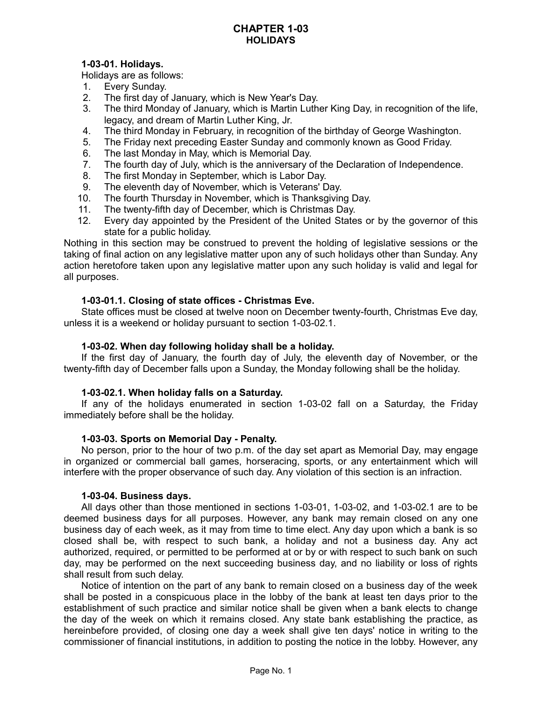### **CHAPTER 1-03 HOLIDAYS**

# **1-03-01. Holidays.**

Holidays are as follows:

- 1. Every Sunday.
- 2. The first day of January, which is New Year's Day.
- 3. The third Monday of January, which is Martin Luther King Day, in recognition of the life, legacy, and dream of Martin Luther King, Jr.
- 4. The third Monday in February, in recognition of the birthday of George Washington.
- 5. The Friday next preceding Easter Sunday and commonly known as Good Friday.
- 6. The last Monday in May, which is Memorial Day.
- 7. The fourth day of July, which is the anniversary of the Declaration of Independence.
- 8. The first Monday in September, which is Labor Day.
- 9. The eleventh day of November, which is Veterans' Day.
- 10. The fourth Thursday in November, which is Thanksgiving Day.
- 11. The twenty-fifth day of December, which is Christmas Day.
- 12. Every day appointed by the President of the United States or by the governor of this state for a public holiday.

Nothing in this section may be construed to prevent the holding of legislative sessions or the taking of final action on any legislative matter upon any of such holidays other than Sunday. Any action heretofore taken upon any legislative matter upon any such holiday is valid and legal for all purposes.

### **1-03-01.1. Closing of state offices - Christmas Eve.**

State offices must be closed at twelve noon on December twenty-fourth, Christmas Eve day, unless it is a weekend or holiday pursuant to section 1-03-02.1.

### **1-03-02. When day following holiday shall be a holiday.**

If the first day of January, the fourth day of July, the eleventh day of November, or the twenty-fifth day of December falls upon a Sunday, the Monday following shall be the holiday.

## **1-03-02.1. When holiday falls on a Saturday.**

If any of the holidays enumerated in section 1-03-02 fall on a Saturday, the Friday immediately before shall be the holiday.

### **1-03-03. Sports on Memorial Day - Penalty.**

No person, prior to the hour of two p.m. of the day set apart as Memorial Day, may engage in organized or commercial ball games, horseracing, sports, or any entertainment which will interfere with the proper observance of such day. Any violation of this section is an infraction.

### **1-03-04. Business days.**

All days other than those mentioned in sections 1-03-01, 1-03-02, and 1-03-02.1 are to be deemed business days for all purposes. However, any bank may remain closed on any one business day of each week, as it may from time to time elect. Any day upon which a bank is so closed shall be, with respect to such bank, a holiday and not a business day. Any act authorized, required, or permitted to be performed at or by or with respect to such bank on such day, may be performed on the next succeeding business day, and no liability or loss of rights shall result from such delay.

Notice of intention on the part of any bank to remain closed on a business day of the week shall be posted in a conspicuous place in the lobby of the bank at least ten days prior to the establishment of such practice and similar notice shall be given when a bank elects to change the day of the week on which it remains closed. Any state bank establishing the practice, as hereinbefore provided, of closing one day a week shall give ten days' notice in writing to the commissioner of financial institutions, in addition to posting the notice in the lobby. However, any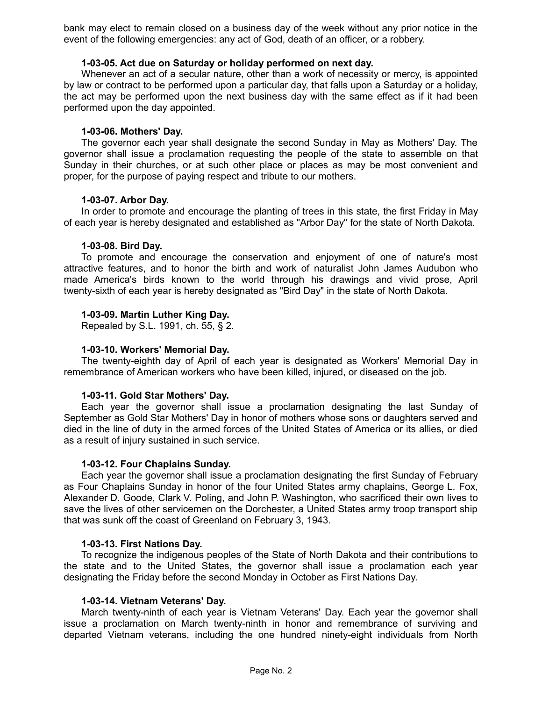bank may elect to remain closed on a business day of the week without any prior notice in the event of the following emergencies: any act of God, death of an officer, or a robbery.

### **1-03-05. Act due on Saturday or holiday performed on next day.**

Whenever an act of a secular nature, other than a work of necessity or mercy, is appointed by law or contract to be performed upon a particular day, that falls upon a Saturday or a holiday, the act may be performed upon the next business day with the same effect as if it had been performed upon the day appointed.

### **1-03-06. Mothers' Day.**

The governor each year shall designate the second Sunday in May as Mothers' Day. The governor shall issue a proclamation requesting the people of the state to assemble on that Sunday in their churches, or at such other place or places as may be most convenient and proper, for the purpose of paying respect and tribute to our mothers.

### **1-03-07. Arbor Day.**

In order to promote and encourage the planting of trees in this state, the first Friday in May of each year is hereby designated and established as "Arbor Day" for the state of North Dakota.

### **1-03-08. Bird Day.**

To promote and encourage the conservation and enjoyment of one of nature's most attractive features, and to honor the birth and work of naturalist John James Audubon who made America's birds known to the world through his drawings and vivid prose, April twenty-sixth of each year is hereby designated as "Bird Day" in the state of North Dakota.

### **1-03-09. Martin Luther King Day.**

Repealed by S.L. 1991, ch. 55, § 2.

### **1-03-10. Workers' Memorial Day.**

The twenty-eighth day of April of each year is designated as Workers' Memorial Day in remembrance of American workers who have been killed, injured, or diseased on the job.

### **1-03-11. Gold Star Mothers' Day.**

Each year the governor shall issue a proclamation designating the last Sunday of September as Gold Star Mothers' Day in honor of mothers whose sons or daughters served and died in the line of duty in the armed forces of the United States of America or its allies, or died as a result of injury sustained in such service.

# **1-03-12. Four Chaplains Sunday.**

Each year the governor shall issue a proclamation designating the first Sunday of February as Four Chaplains Sunday in honor of the four United States army chaplains, George L. Fox, Alexander D. Goode, Clark V. Poling, and John P. Washington, who sacrificed their own lives to save the lives of other servicemen on the Dorchester, a United States army troop transport ship that was sunk off the coast of Greenland on February 3, 1943.

### **1-03-13. First Nations Day.**

To recognize the indigenous peoples of the State of North Dakota and their contributions to the state and to the United States, the governor shall issue a proclamation each year designating the Friday before the second Monday in October as First Nations Day.

### **1-03-14. Vietnam Veterans' Day.**

March twenty-ninth of each year is Vietnam Veterans' Day. Each year the governor shall issue a proclamation on March twenty-ninth in honor and remembrance of surviving and departed Vietnam veterans, including the one hundred ninety-eight individuals from North